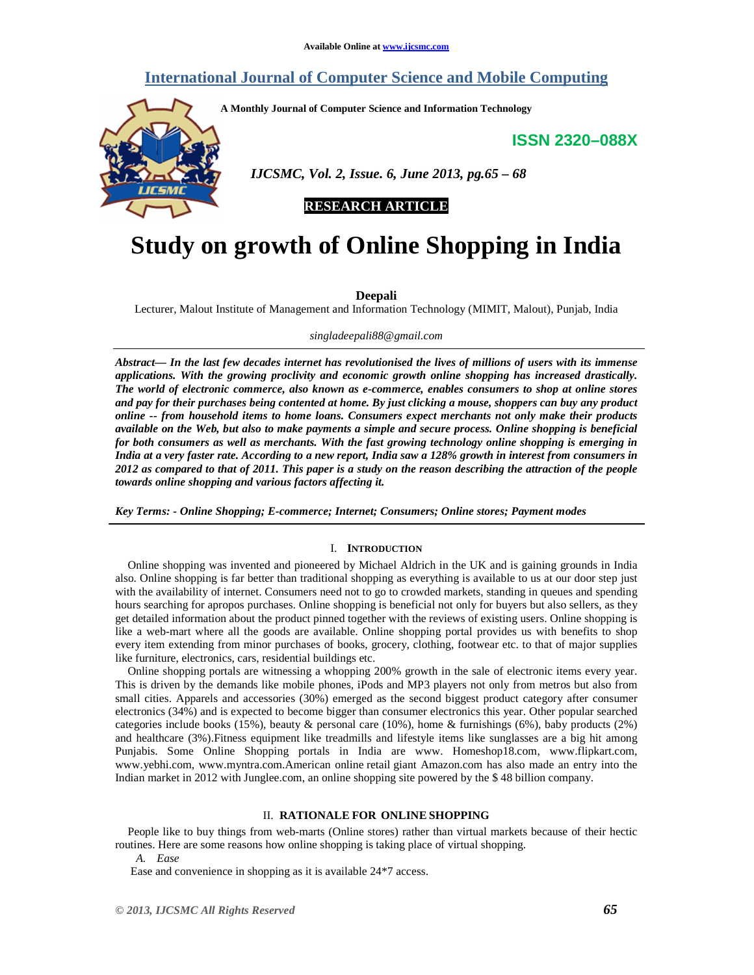# **International Journal of Computer Science and Mobile Computing**

**A Monthly Journal of Computer Science and Information Technology** 

**ISSN 2320–088X**



 *IJCSMC, Vol. 2, Issue. 6, June 2013, pg.65 – 68* 

# **RESEARCH ARTICLE**

# **Study on growth of Online Shopping in India**

# **Deepali**

Lecturer, Malout Institute of Management and Information Technology (MIMIT, Malout), Punjab, India

*singladeepali88@gmail.com*

*Abstract— In the last few decades internet has revolutionised the lives of millions of users with its immense applications. With the growing proclivity and economic growth online shopping has increased drastically. The world of electronic commerce, also known as e-commerce, enables consumers to shop at online stores and pay for their purchases being contented at home. By just clicking a mouse, shoppers can buy any product online -- from household items to home loans. Consumers expect merchants not only make their products available on the Web, but also to make payments a simple and secure process. Online shopping is beneficial for both consumers as well as merchants. With the fast growing technology online shopping is emerging in India at a very faster rate. According to a new report, India saw a 128% growth in interest from consumers in 2012 as compared to that of 2011. This paper is a study on the reason describing the attraction of the people towards online shopping and various factors affecting it.* 

*Key Terms: - Online Shopping; E-commerce; Internet; Consumers; Online stores; Payment modes* 

# I. **INTRODUCTION**

Online shopping was invented and pioneered by Michael Aldrich in the UK and is gaining grounds in India also. Online shopping is far better than traditional shopping as everything is available to us at our door step just with the availability of internet. Consumers need not to go to crowded markets, standing in queues and spending hours searching for apropos purchases. Online shopping is beneficial not only for buyers but also sellers, as they get detailed information about the product pinned together with the reviews of existing users. Online shopping is like a web-mart where all the goods are available. Online shopping portal provides us with benefits to shop every item extending from minor purchases of books, grocery, clothing, footwear etc. to that of major supplies like furniture, electronics, cars, residential buildings etc.

Online shopping portals are witnessing a whopping 200% growth in the sale of electronic items every year. This is driven by the demands like mobile phones, iPods and MP3 players not only from metros but also from small cities. Apparels and accessories (30%) emerged as the second biggest product category after consumer electronics (34%) and is expected to become bigger than consumer electronics this year. Other popular searched categories include books (15%), beauty & personal care (10%), home & furnishings (6%), baby products (2%) and healthcare (3%).Fitness equipment like treadmills and lifestyle items like sunglasses are a big hit among Punjabis. Some Online Shopping portals in India are www. Homeshop18.com, www.flipkart.com, www.yebhi.com, www.myntra.com.American online retail giant Amazon.com has also made an entry into the Indian market in 2012 with Junglee.com, an online shopping site powered by the \$ 48 billion company.

#### II. **RATIONALE FOR ONLINE SHOPPING**

People like to buy things from web-marts (Online stores) rather than virtual markets because of their hectic routines. Here are some reasons how online shopping is taking place of virtual shopping.

*A. Ease* 

Ease and convenience in shopping as it is available 24\*7 access.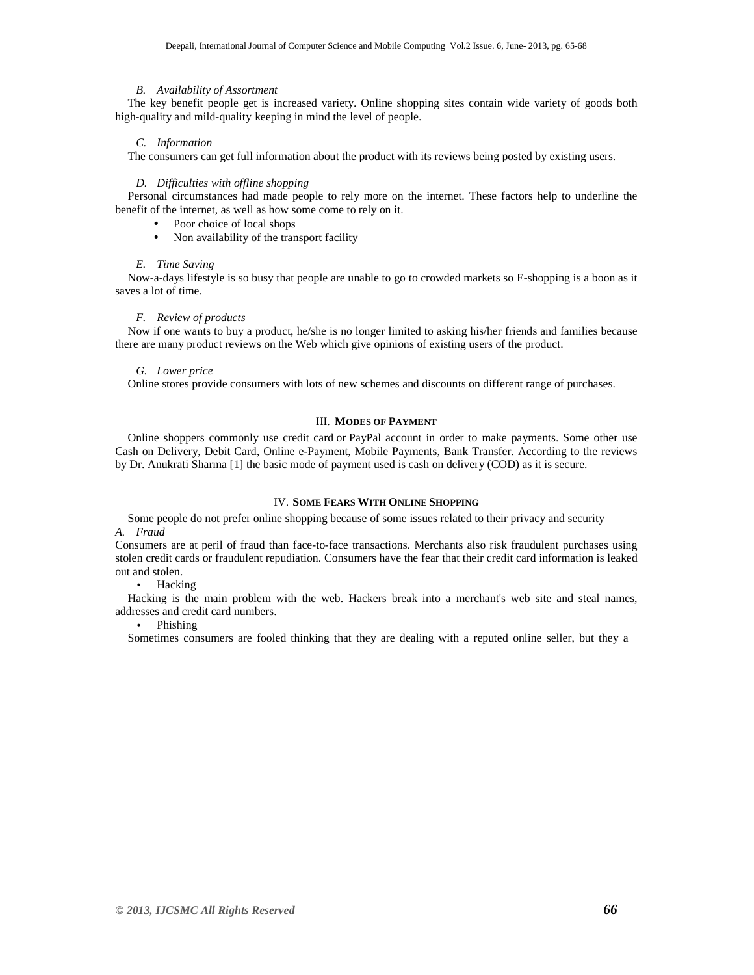#### *B. Availability of Assortment*

The key benefit people get is increased variety. Online shopping sites contain wide variety of goods both high-quality and mild-quality keeping in mind the level of people.

# *C. Information*

The consumers can get full information about the product with its reviews being posted by existing users.

#### *D. Difficulties with offline shopping*

Personal circumstances had made people to rely more on the internet. These factors help to underline the benefit of the internet, as well as how some come to rely on it.

- Poor choice of local shops
- Non availability of the transport facility

#### *E. Time Saving*

Now-a-days lifestyle is so busy that people are unable to go to crowded markets so E-shopping is a boon as it saves a lot of time.

#### *F. Review of products*

Now if one wants to buy a product, he/she is no longer limited to asking his/her friends and families because there are many product reviews on the Web which give opinions of existing users of the product.

# *G. Lower price*

Online stores provide consumers with lots of new schemes and discounts on different range of purchases.

#### III. **MODES OF PAYMENT**

Online shoppers commonly use credit card or PayPal account in order to make payments. Some other use Cash on Delivery, Debit Card, Online e-Payment, Mobile Payments, Bank Transfer. According to the reviews by Dr. Anukrati Sharma [1] the basic mode of payment used is cash on delivery (COD) as it is secure.

# IV. **SOME FEARS WITH ONLINE SHOPPING**

Some people do not prefer online shopping because of some issues related to their privacy and security *A. Fraud* 

Consumers are at peril of fraud than face-to-face transactions. Merchants also risk fraudulent purchases using stolen credit cards or fraudulent repudiation. Consumers have the fear that their credit card information is leaked out and stolen.

• Hacking

Hacking is the main problem with the web. Hackers break into a merchant's web site and steal names, addresses and credit card numbers.

# • Phishing

Sometimes consumers are fooled thinking that they are dealing with a reputed online seller, but they a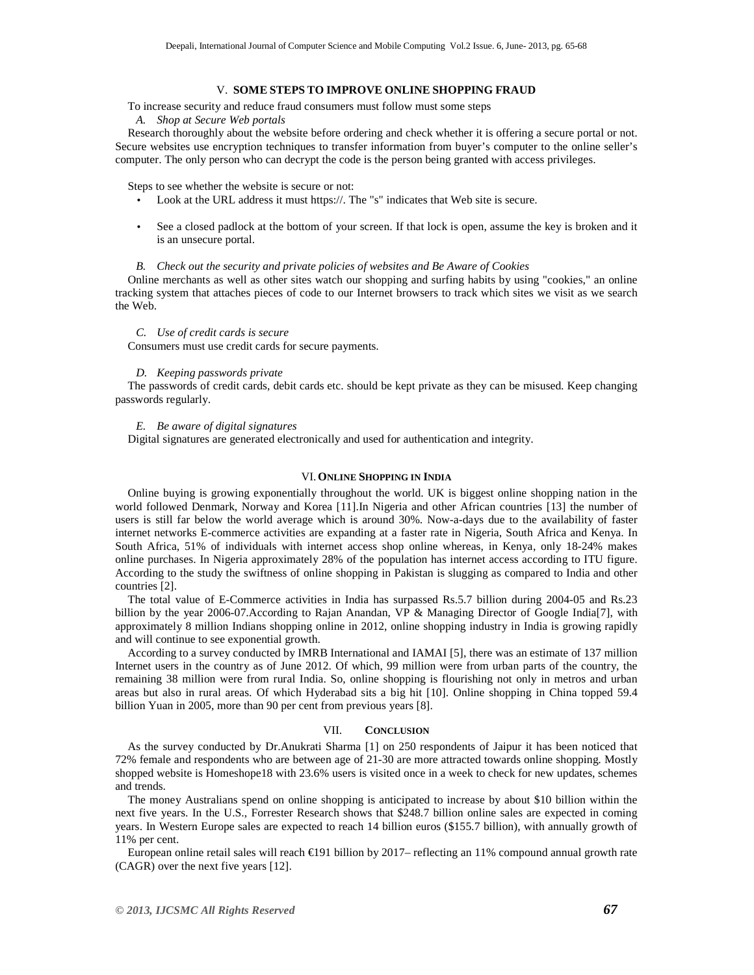# V. **SOME STEPS TO IMPROVE ONLINE SHOPPING FRAUD**

To increase security and reduce fraud consumers must follow must some steps

*A. Shop at Secure Web portals*

Research thoroughly about the website before ordering and check whether it is offering a secure portal or not. Secure websites use encryption techniques to transfer information from buyer's computer to the online seller's computer. The only person who can decrypt the code is the person being granted with access privileges.

Steps to see whether the website is secure or not:

- Look at the URL address it must https://. The "s" indicates that Web site is secure.
- See a closed padlock at the bottom of your screen. If that lock is open, assume the key is broken and it is an unsecure portal.

#### *B. Check out the security and private policies of websites and Be Aware of Cookies*

Online merchants as well as other sites watch our shopping and surfing habits by using "cookies," an online tracking system that attaches pieces of code to our Internet browsers to track which sites we visit as we search the Web.

#### *C. Use of credit cards is secure*

Consumers must use credit cards for secure payments.

#### *D. Keeping passwords private*

The passwords of credit cards, debit cards etc. should be kept private as they can be misused. Keep changing passwords regularly.

# *E. Be aware of digital signatures*

Digital signatures are generated electronically and used for authentication and integrity.

# VI.**ONLINE SHOPPING IN INDIA**

Online buying is growing exponentially throughout the world. UK is biggest online shopping nation in the world followed Denmark, Norway and Korea [11].In Nigeria and other African countries [13] the number of users is still far below the world average which is around 30%. Now-a-days due to the availability of faster internet networks E-commerce activities are expanding at a faster rate in Nigeria, South Africa and Kenya. In South Africa, 51% of individuals with internet access shop online whereas, in Kenya, only 18-24% makes online purchases. In Nigeria approximately 28% of the population has internet access according to ITU figure. According to the study the swiftness of online shopping in Pakistan is slugging as compared to India and other countries [2].

The total value of E-Commerce activities in India has surpassed Rs.5.7 billion during 2004-05 and Rs.23 billion by the year 2006-07.According to Rajan Anandan, VP & Managing Director of Google India[7], with approximately 8 million Indians shopping online in 2012, online shopping industry in India is growing rapidly and will continue to see exponential growth.

According to a survey conducted by IMRB International and IAMAI [5], there was an estimate of 137 million Internet users in the country as of June 2012. Of which, 99 million were from urban parts of the country, the remaining 38 million were from rural India. So, online shopping is flourishing not only in metros and urban areas but also in rural areas. Of which Hyderabad sits a big hit [10]. Online shopping in China topped 59.4 billion Yuan in 2005, more than 90 per cent from previous years [8].

#### VII. **CONCLUSION**

As the survey conducted by Dr.Anukrati Sharma [1] on 250 respondents of Jaipur it has been noticed that 72% female and respondents who are between age of 21-30 are more attracted towards online shopping. Mostly shopped website is Homeshope18 with 23.6% users is visited once in a week to check for new updates, schemes and trends.

The money Australians spend on online shopping is anticipated to increase by about \$10 billion within the next five years. In the U.S., Forrester Research shows that \$248.7 billion online sales are expected in coming years. In Western Europe sales are expected to reach 14 billion euros (\$155.7 billion), with annually growth of 11% per cent.

European online retail sales will reach €191 billion by 2017– reflecting an 11% compound annual growth rate (CAGR) over the next five years [12].